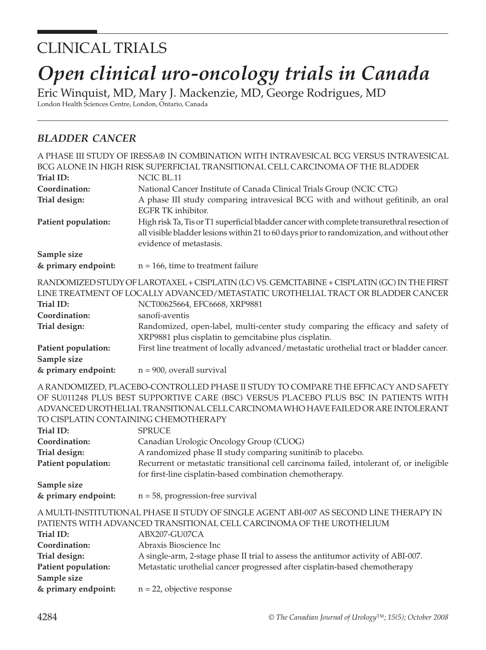## CLINICAL TRIALS

# *Open clinical uro-oncology trials in Canada*

Eric Winquist, MD, Mary J. Mackenzie, MD, George Rodrigues, MD London Health Sciences Centre, London, Ontario, Canada

#### *BLADDER CANCER*

|                                      | A PHASE III STUDY OF IRESSA® IN COMBINATION WITH INTRAVESICAL BCG VERSUS INTRAVESICAL                                                    |
|--------------------------------------|------------------------------------------------------------------------------------------------------------------------------------------|
|                                      | BCG ALONE IN HIGH RISK SUPERFICIAL TRANSITIONAL CELL CARCINOMA OF THE BLADDER                                                            |
| Trial ID:                            | NCIC BL.11                                                                                                                               |
| Coordination:                        | National Cancer Institute of Canada Clinical Trials Group (NCIC CTG)                                                                     |
| Trial design:                        | A phase III study comparing intravesical BCG with and without gefitinib, an oral<br>EGFR TK inhibitor.                                   |
| Patient population:                  | High risk Ta, Tis or T1 superficial bladder cancer with complete transurethral resection of                                              |
|                                      | all visible bladder lesions within 21 to 60 days prior to randomization, and without other<br>evidence of metastasis.                    |
| Sample size                          |                                                                                                                                          |
| & primary endpoint:                  | $n = 166$ , time to treatment failure                                                                                                    |
|                                      | RANDOMIZED STUDY OF LAROTAXEL + CISPLATIN (LC) VS. GEMCITABINE + CISPLATIN (GC) IN THE FIRST                                             |
|                                      | LINE TREATMENT OF LOCALLY ADVANCED/METASTATIC UROTHELIAL TRACT OR BLADDER CANCER                                                         |
| Trial ID:                            | NCT00625664, EFC6668, XRP9881                                                                                                            |
| Coordination:                        | sanofi-aventis                                                                                                                           |
| Trial design:                        | Randomized, open-label, multi-center study comparing the efficacy and safety of<br>XRP9881 plus cisplatin to gemcitabine plus cisplatin. |
| Patient population:                  | First line treatment of locally advanced/metastatic urothelial tract or bladder cancer.                                                  |
| Sample size                          |                                                                                                                                          |
| & primary endpoint:                  | $n = 900$ , overall survival                                                                                                             |
|                                      | A RANDOMIZED, PLACEBO-CONTROLLED PHASE II STUDY TO COMPARE THE EFFICACY AND SAFETY                                                       |
|                                      | OF SU011248 PLUS BEST SUPPORTIVE CARE (BSC) VERSUS PLACEBO PLUS BSC IN PATIENTS WITH                                                     |
|                                      | ADVANCED UROTHELIAL TRANSITIONAL CELL CARCINOMA WHO HAVE FAILED OR ARE INTOLERANT                                                        |
| TO CISPLATIN CONTAINING CHEMOTHERAPY |                                                                                                                                          |
| Trial ID:                            | <b>SPRUCE</b>                                                                                                                            |
| Coordination:                        | Canadian Urologic Oncology Group (CUOG)                                                                                                  |
| Trial design:                        | A randomized phase II study comparing sunitinib to placebo.                                                                              |
| Patient population:                  | Recurrent or metastatic transitional cell carcinoma failed, intolerant of, or ineligible                                                 |
|                                      | for first-line cisplatin-based combination chemotherapy.                                                                                 |
| Sample size                          |                                                                                                                                          |
| & primary endpoint:                  | $n = 58$ , progression-free survival                                                                                                     |
|                                      | A MULTI-INSTITUTIONAL PHASE II STUDY OF SINGLE AGENT ABI-007 AS SECOND LINE THERAPY IN                                                   |
|                                      | PATIENTS WITH ADVANCED TRANSITIONAL CELL CARCINOMA OF THE UROTHELIUM                                                                     |
| Trial ID:                            | ABX207-GU07CA                                                                                                                            |
| Coordination:                        | Abraxis Bioscience Inc                                                                                                                   |
| Trial design:                        | A single-arm, 2-stage phase II trial to assess the antitumor activity of ABI-007.                                                        |
| Patient population:                  | Metastatic urothelial cancer progressed after cisplatin-based chemotherapy                                                               |
| Sample size                          |                                                                                                                                          |
| & primary endpoint:                  | $n = 22$ , objective response                                                                                                            |
|                                      |                                                                                                                                          |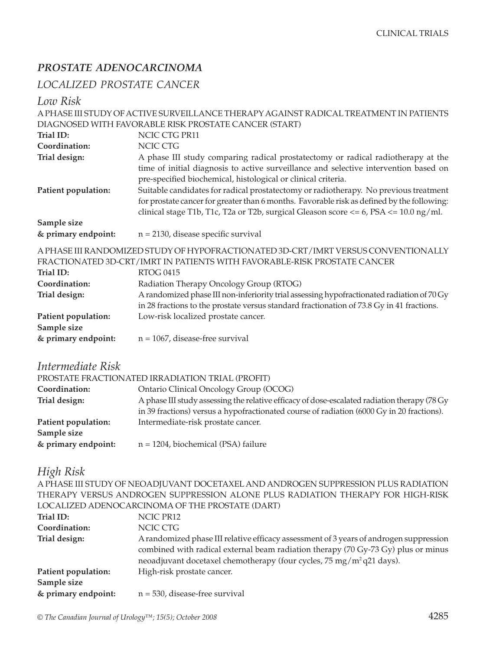#### *PROSTATE ADENOCARCINOMA*

### *LOCALIZED PROSTATE CANCER*

*Low Risk*

|                     | A PHASE III STUDY OF ACTIVE SURVEILLANCE THERAPY AGAINST RADICAL TREATMENT IN PATIENTS       |
|---------------------|----------------------------------------------------------------------------------------------|
|                     | DIAGNOSED WITH FAVORABLE RISK PROSTATE CANCER (START)                                        |
| Trial ID:           | NCIC CTG PR11                                                                                |
| Coordination:       | <b>NCIC CTG</b>                                                                              |
| Trial design:       | A phase III study comparing radical prostatectomy or radical radiotherapy at the             |
|                     | time of initial diagnosis to active surveillance and selective intervention based on         |
|                     | pre-specified biochemical, histological or clinical criteria.                                |
| Patient population: | Suitable candidates for radical prostatectomy or radiotherapy. No previous treatment         |
|                     | for prostate cancer for greater than 6 months. Favorable risk as defined by the following:   |
|                     | clinical stage T1b, T1c, T2a or T2b, surgical Gleason score $<= 6$ , PSA $<= 10.0$ ng/ml.    |
| Sample size         |                                                                                              |
| & primary endpoint: | $n = 2130$ , disease specific survival                                                       |
|                     | A PHASE III RANDOMIZED STUDY OF HYPOFRACTIONATED 3D-CRT/IMRT VERSUS CONVENTIONALLY           |
|                     | FRACTIONATED 3D-CRT/IMRT IN PATIENTS WITH FAVORABLE-RISK PROSTATE CANCER                     |
| Trial ID:           | <b>RTOG 0415</b>                                                                             |
| Coordination:       | Radiation Therapy Oncology Group (RTOG)                                                      |
| Trial design:       | A randomized phase III non-inferiority trial assessing hypofractionated radiation of 70 Gy   |
|                     | in 28 fractions to the prostate versus standard fractionation of 73.8 Gy in 41 fractions.    |
| Patient population: | Low-risk localized prostate cancer.                                                          |
| Sample size         |                                                                                              |
| & primary endpoint: | $n = 1067$ , disease-free survival                                                           |
|                     |                                                                                              |
| Intermediate Risk   |                                                                                              |
|                     | PROSTATE FRACTIONATED IRRADIATION TRIAL (PROFIT)                                             |
| Coordination:       | Ontario Clinical Oncology Group (OCOG)                                                       |
| Trial design:       | A phase III study assessing the relative efficacy of dose-escalated radiation therapy (78 Gy |
|                     | in 39 fractions) versus a hypofractionated course of radiation (6000 Gy in 20 fractions).    |
| Patient population: | Intermediate-risk prostate cancer.                                                           |
| Sample size         |                                                                                              |
| & primary endpoint: | $n = 1204$ , biochemical (PSA) failure                                                       |
|                     |                                                                                              |
| High Risk           |                                                                                              |
|                     | A PHASE III STUDY OF NEOADJUVANT DOCETAXEL AND ANDROGEN SUPPRESSION PLUS RADIATION           |
|                     | THERAPY VERSUS ANDROGEN SUPPRESSION ALONE PLUS RADIATION THERAPY FOR HIGH-RISK               |
|                     | LOCALIZED ADENOCARCINOMA OF THE PROSTATE (DART)                                              |
| Trial ID:           | NCIC PR12                                                                                    |
| Coordination:       |                                                                                              |
|                     | NCIC CTG                                                                                     |
| Trial design:       | A randomized phase III relative efficacy assessment of 3 years of androgen suppression       |
|                     | combined with radical external beam radiation therapy (70 Gy-73 Gy) plus or minus            |
|                     | neoadjuvant docetaxel chemotherapy (four cycles, 75 mg/m <sup>2</sup> q21 days).             |
| Patient population: | High-risk prostate cancer.                                                                   |
| Sample size         |                                                                                              |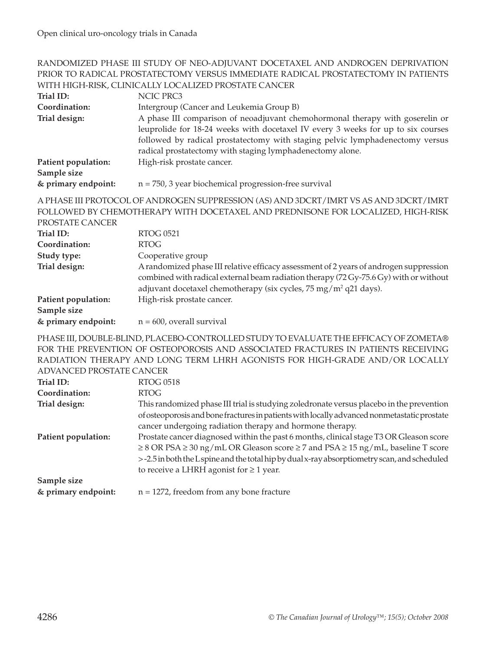#### RANDOMIZED PHASE III STUDY OF NEO-ADJUVANT DOCETAXEL AND ANDROGEN DEPRIVATION PRIOR TO RADICAL PROSTATECTOMY VERSUS IMMEDIATE RADICAL PROSTATECTOMY IN PATIENTS WITH HIGH-RISK, CLINICALLY LOCALIZED PROSTATE CANCER

| Trial ID:                               | NCIC PRC3                                                                                                                                                                                                                                                                                                      |
|-----------------------------------------|----------------------------------------------------------------------------------------------------------------------------------------------------------------------------------------------------------------------------------------------------------------------------------------------------------------|
| Coordination:                           | Intergroup (Cancer and Leukemia Group B)                                                                                                                                                                                                                                                                       |
| Trial design:                           | A phase III comparison of neoadjuvant chemohormonal therapy with goserelin or<br>leuprolide for 18-24 weeks with docetaxel IV every 3 weeks for up to six courses<br>followed by radical prostatectomy with staging pelvic lymphadenectomy versus<br>radical prostatectomy with staging lymphadenectomy alone. |
| Patient population:<br>Sample size      | High-risk prostate cancer.                                                                                                                                                                                                                                                                                     |
| & primary endpoint:                     | $n = 750$ , 3 year biochemical progression-free survival                                                                                                                                                                                                                                                       |
| PROSTATE CANCER                         | A PHASE III PROTOCOL OF ANDROGEN SUPPRESSION (AS) AND 3DCRT/IMRT VS AS AND 3DCRT/IMRT<br>FOLLOWED BY CHEMOTHERAPY WITH DOCETAXEL AND PREDNISONE FOR LOCALIZED, HIGH-RISK                                                                                                                                       |
| Trial ID:                               | <b>RTOG 0521</b>                                                                                                                                                                                                                                                                                               |
| Coordination:                           | <b>RTOG</b>                                                                                                                                                                                                                                                                                                    |
| Study type:                             | Cooperative group                                                                                                                                                                                                                                                                                              |
| Trial design:                           | A randomized phase III relative efficacy assessment of 2 years of androgen suppression<br>combined with radical external beam radiation therapy (72 Gy-75.6 Gy) with or without<br>adjuvant docetaxel chemotherapy (six cycles, 75 mg/m <sup>2</sup> q21 days).                                                |
| Patient population:                     | High-risk prostate cancer.                                                                                                                                                                                                                                                                                     |
| Sample size                             |                                                                                                                                                                                                                                                                                                                |
| & primary endpoint:                     | $n = 600$ , overall survival                                                                                                                                                                                                                                                                                   |
| <b>ADVANCED PROSTATE CANCER</b>         | PHASE III, DOUBLE-BLIND, PLACEBO-CONTROLLED STUDY TO EVALUATE THE EFFICACY OF ZOMETA®<br>FOR THE PREVENTION OF OSTEOPOROSIS AND ASSOCIATED FRACTURES IN PATIENTS RECEIVING<br>RADIATION THERAPY AND LONG TERM LHRH AGONISTS FOR HIGH-GRADE AND/OR LOCALLY                                                      |
| Trial ID:                               | <b>RTOG 0518</b>                                                                                                                                                                                                                                                                                               |
| Coordination:                           | <b>RTOG</b>                                                                                                                                                                                                                                                                                                    |
| Trial design:                           | This randomized phase III trial is studying zoledronate versus placebo in the prevention                                                                                                                                                                                                                       |
|                                         | of osteoporosis and bone fractures in patients with locally advanced nonmetastatic prostate<br>cancer undergoing radiation therapy and hormone therapy.                                                                                                                                                        |
| $\mathbf{m}$ is the set of $\mathbf{m}$ | $\mathbf{r}$ and $\mathbf{r}$ and $\mathbf{r}$ and $\mathbf{r}$ and $\mathbf{r}$ and $\mathbf{r}$ and $\mathbf{r}$ and $\mathbf{r}$ and $\mathbf{r}$                                                                                                                                                           |

**Patient population:** Prostate cancer diagnosed within the past 6 months, clinical stage T3 OR Gleason score ≥ 8 OR PSA ≥ 30 ng/mL OR Gleason score ≥ 7 and PSA ≥ 15 ng/mL, baseline T score > -2.5 in both the L spine and the total hip by dual x-ray absorptiometry scan, and scheduled to receive a LHRH agonist for  $\geq 1$  year. **Sample size** 

**& primary endpoint:** n = 1272, freedom from any bone fracture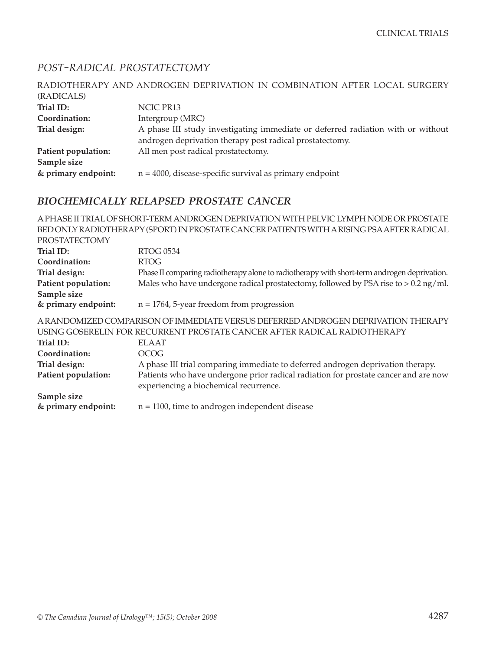#### *POST-RADICAL PROSTATECTOMY*

| RADIOTHERAPY AND ANDROGEN DEPRIVATION IN COMBINATION AFTER LOCAL SURGERY        |
|---------------------------------------------------------------------------------|
|                                                                                 |
| NCIC PR13                                                                       |
| Intergroup (MRC)                                                                |
| A phase III study investigating immediate or deferred radiation with or without |
| androgen deprivation therapy post radical prostatectomy.                        |
| All men post radical prostatectomy.                                             |
|                                                                                 |
| $n = 4000$ , disease-specific survival as primary endpoint                      |
|                                                                                 |

#### *BIOCHEMICALLY RELAPSED PROSTATE CANCER*

A PHASE II TRIAL OF SHORT-TERM ANDROGEN DEPRIVATION WITH PELVIC LYMPH NODE OR PROSTATE BED ONLY RADIOTHERAPY (SPORT) IN PROSTATE CANCER PATIENTS WITH A RISING PSA AFTER RADICAL PROSTATECTOMY<br>Trial ID: **Trial ID:** RTOG 0534 **Coordination:** RTOG **Trial design:** Phase II comparing radiotherapy alone to radiotherapy with short-term androgen deprivation. **Patient population:** Males who have undergone radical prostatectomy, followed by PSA rise to > 0.2 ng/ml. **Sample size & primary endpoint:** n = 1764, 5-year freedom from progression A RANDOMIZED COMPARISON OF IMMEDIATE VERSUS DEFERRED ANDROGEN DEPRIVATION THERAPY USING GOSERELIN FOR RECURRENT PROSTATE CANCER AFTER RADICAL RADIOTHERAPY **Trial ID:** ELAAT **Coordination:** OCOG **Trial design:** A phase III trial comparing immediate to deferred androgen deprivation therapy. **Patient population:** Patients who have undergone prior radical radiation for prostate cancer and are now experiencing a biochemical recurrence. **Sample size & primary endpoint:** n = 1100, time to androgen independent disease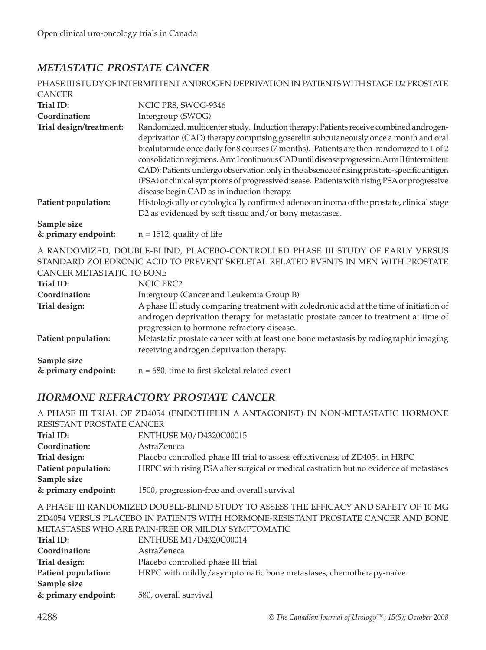#### *METASTATIC PROSTATE CANCER*

|                                    | PHASE III STUDY OF INTERMITTENT ANDROGEN DEPRIVATION IN PATIENTS WITH STAGE D2 PROSTATE                                                                                                                                                                                                                                                                                                                                                                                                                                                                                                                            |
|------------------------------------|--------------------------------------------------------------------------------------------------------------------------------------------------------------------------------------------------------------------------------------------------------------------------------------------------------------------------------------------------------------------------------------------------------------------------------------------------------------------------------------------------------------------------------------------------------------------------------------------------------------------|
| <b>CANCER</b>                      |                                                                                                                                                                                                                                                                                                                                                                                                                                                                                                                                                                                                                    |
| Trial ID:                          | NCIC PR8, SWOG-9346                                                                                                                                                                                                                                                                                                                                                                                                                                                                                                                                                                                                |
| Coordination:                      | Intergroup (SWOG)                                                                                                                                                                                                                                                                                                                                                                                                                                                                                                                                                                                                  |
| Trial design/treatment:            | Randomized, multicenter study. Induction therapy: Patients receive combined androgen-<br>deprivation (CAD) therapy comprising goserelin subcutaneously once a month and oral<br>bicalutamide once daily for 8 courses (7 months). Patients are then randomized to 1 of 2<br>consolidation regimens. Arm I continuous CAD until disease progression. Arm II (intermittent<br>CAD): Patients undergo observation only in the absence of rising prostate-specific antigen<br>(PSA) or clinical symptoms of progressive disease. Patients with rising PSA or progressive<br>disease begin CAD as in induction therapy. |
| Patient population:                | Histologically or cytologically confirmed adenocarcinoma of the prostate, clinical stage<br>D2 as evidenced by soft tissue and/or bony metastases.                                                                                                                                                                                                                                                                                                                                                                                                                                                                 |
| Sample size<br>& primary endpoint: | $n = 1512$ , quality of life                                                                                                                                                                                                                                                                                                                                                                                                                                                                                                                                                                                       |

A RANDOMIZED, DOUBLE-BLIND, PLACEBO-CONTROLLED PHASE III STUDY OF EARLY VERSUS STANDARD ZOLEDRONIC ACID TO PREVENT SKELETAL RELATED EVENTS IN MEN WITH PROSTATE CANCER METASTATIC TO BONE

| $\sim$ - $\sim$ - $\sim$ - $\sim$ - $\sim$ - $\sim$ - $\sim$ |                                                                                         |
|--------------------------------------------------------------|-----------------------------------------------------------------------------------------|
| Trial ID:                                                    | NCIC PRC2                                                                               |
| Coordination:                                                | Intergroup (Cancer and Leukemia Group B)                                                |
| Trial design:                                                | A phase III study comparing treatment with zoledronic acid at the time of initiation of |
|                                                              | androgen deprivation therapy for metastatic prostate cancer to treatment at time of     |
|                                                              | progression to hormone-refractory disease.                                              |
| Patient population:                                          | Metastatic prostate cancer with at least one bone metastasis by radiographic imaging    |
|                                                              | receiving androgen deprivation therapy.                                                 |
| Sample size                                                  |                                                                                         |
| & primary endpoint:                                          | $n = 680$ , time to first skeletal related event                                        |

#### *HORMONE REFRACTORY PROSTATE CANCER*

|                                                                                      | A PHASE III TRIAL OF ZD4054 (ENDOTHELIN A ANTAGONIST) IN NON-METASTATIC HORMONE         |
|--------------------------------------------------------------------------------------|-----------------------------------------------------------------------------------------|
| RESISTANT PROSTATE CANCER                                                            |                                                                                         |
| Trial ID:                                                                            | ENTHUSE M0/D4320C00015                                                                  |
| Coordination:                                                                        | AstraZeneca                                                                             |
| Trial design:                                                                        | Placebo controlled phase III trial to assess effectiveness of ZD4054 in HRPC            |
| Patient population:                                                                  | HRPC with rising PSA after surgical or medical castration but no evidence of metastases |
| Sample size                                                                          |                                                                                         |
| & primary endpoint:                                                                  | 1500, progression-free and overall survival                                             |
| A PHASE III RANDOMIZED DOUBLE-BLIND STUDY TO ASSESS THE EFFICACY AND SAFETY OF 10 MG |                                                                                         |

ZD4054 VERSUS PLACEBO IN PATIENTS WITH HORMONE-RESISTANT PROSTATE CANCER AND BONE METASTASES WHO ARE PAIN-FREE OR MILDLY SYMPTOMATIC

| Trial ID:           | ENTHUSE M1/D4320C00014                                             |
|---------------------|--------------------------------------------------------------------|
| Coordination:       | AstraZeneca                                                        |
| Trial design:       | Placebo controlled phase III trial                                 |
| Patient population: | HRPC with mildly/asymptomatic bone metastases, chemotherapy-naïve. |
| Sample size         |                                                                    |
| & primary endpoint: | 580, overall survival                                              |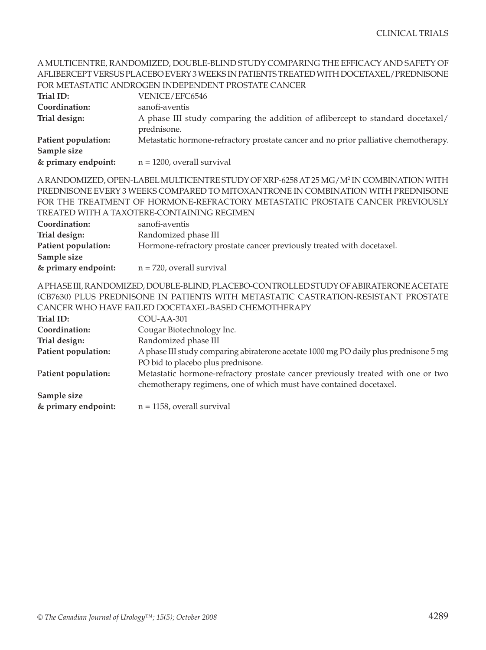|                     | AFLIBERCEPT VERSUS PLACEBO EVERY 3 WEEKS IN PATIENTS TREATED WITH DOCETAXEL/PREDNISONE                                                                                                 |
|---------------------|----------------------------------------------------------------------------------------------------------------------------------------------------------------------------------------|
|                     | FOR METASTATIC ANDROGEN INDEPENDENT PROSTATE CANCER                                                                                                                                    |
| Trial ID:           | VENICE/EFC6546                                                                                                                                                                         |
| Coordination:       | sanofi-aventis                                                                                                                                                                         |
| Trial design:       | A phase III study comparing the addition of aflibercept to standard docetaxel/<br>prednisone.                                                                                          |
| Patient population: | Metastatic hormone-refractory prostate cancer and no prior palliative chemotherapy.                                                                                                    |
| Sample size         |                                                                                                                                                                                        |
| & primary endpoint: | $n = 1200$ , overall survival                                                                                                                                                          |
|                     | A RANDOMIZED, OPEN-LABEL MULTICENTRE STUDY OF XRP-6258 AT 25 MG/M <sup>2</sup> IN COMBINATION WITH<br>PREDNISONE EVERY 3 WEEKS COMPARED TO MITOXANTRONE IN COMBINATION WITH PREDNISONE |
|                     | FOR THE TREATMENT OF HORMONE-REFRACTORY METASTATIC PROSTATE CANCER PREVIOUSLY                                                                                                          |
|                     | TREATED WITH A TAXOTERE-CONTAINING REGIMEN                                                                                                                                             |
| Coordination:       | sanofi-aventis                                                                                                                                                                         |
| Trial design:       | Randomized phase III                                                                                                                                                                   |
| Patient population: | Hormone-refractory prostate cancer previously treated with docetaxel.                                                                                                                  |
| Sample size         |                                                                                                                                                                                        |
| & primary endpoint: | $n = 720$ , overall survival                                                                                                                                                           |
|                     | A PHASE III, RANDOMIZED, DOUBLE-BLIND, PLACEBO-CONTROLLED STUDY OF ABIRATERONE ACETATE                                                                                                 |
|                     | (CB7630) PLUS PREDNISONE IN PATIENTS WITH METASTATIC CASTRATION-RESISTANT PROSTATE                                                                                                     |
|                     | CANCER WHO HAVE FAILED DOCETAXEL-BASED CHEMOTHERAPY                                                                                                                                    |
| Trial ID:           | COU-AA-301                                                                                                                                                                             |
| Coordination:       | Cougar Biotechnology Inc.                                                                                                                                                              |
| Trial design:       | Randomized phase III                                                                                                                                                                   |
| Patient population: | A phase III study comparing abiraterone acetate 1000 mg PO daily plus prednisone 5 mg<br>PO bid to placebo plus prednisone.                                                            |
| Patient population: | Metastatic hormone-refractory prostate cancer previously treated with one or two<br>chemotherapy regimens, one of which must have contained docetaxel.                                 |
| Sample size         |                                                                                                                                                                                        |

A MULTICENTRE, RANDOMIZED, DOUBLE-BLIND STUDY COMPARING THE EFFICACY AND SAFETY OF

**& primary endpoint:** n = 1158, overall survival